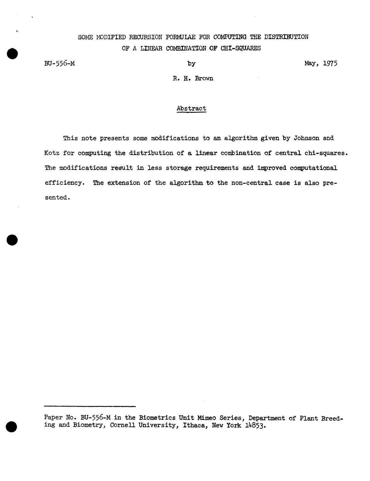# SOME MODIFIED RECURSION FORMULAE FOR COMPUTING THE DISTRIBUTION OF A LINEAR COMBINATION OF CHI-SQUARES

BU-556-M

by May, 1975

R. H. Brown

#### Abstract

This note presents some modifications to an algorithm given by Johnson and Kotz for computing the distribution of a linear combination of central chi-squares. The modifications result in less storage requirements and improved computational efficiency. The extension of the algorithm to the non-central case is also presen ted.

Paper No. BU-556-M in the Biometrics Unit Mimeo Series, Department of Plant Breeding and Biometry, Cornell University, Ithaca, New York 14853·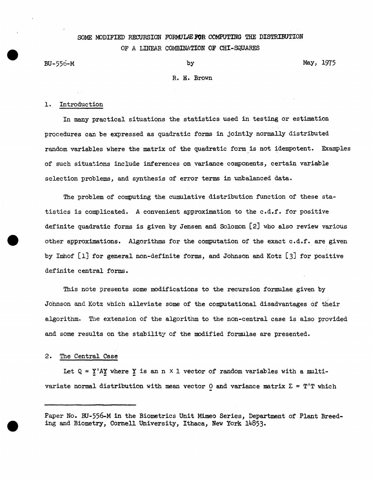## SOME MODIFIED RECURSION FORMJLAE FOR COMPUTING THE DISTRIBUTION OF *A* LINEAR COMBINATION OF CHI-SQUARES

BU-556-M by May, 1975

#### R. H. Brown

#### 1. Introduction

In many practical situations the statistics used in testing or estimation procedures can be expressed as quadratic forms in jointly normally distributed random variables where the matrix of the quadratic form is not idempotent. Examples of such situations include inferences on variance components, certain variable selection problems, and synthesis of error terms in unbalanced data.

The problem of computing the cumulative distribution function of these statistics is complicated. A convenient approximation to the c.d.f. for positive definite quadratic forms is given by Jensen and Solomon (2] who also review various other approximations. Algorithms for the computation of the exact c.d.f. are given by Imhof [1] for general non-definite forms, and Johnson and Kotz [3] for positive definite central forms.

This note presents some modifications to the recursion formulae given by Johnson and Kotz which alleviate some of the computational disadvantages of their algorithm. The extension of the algorithm to the non-central case is also provided and some results on the stability of the modified formulae are presented.

#### 2. The Central Case

Let  $Q = Y'AY$  where Y is an n  $\times$  1 vector of random variables with a multivariate normal distribution with mean vector 0 and variance matrix  $\Sigma = T'T$  which

Paper No. BU-556-M in the Biometrics Unit Mimeo Series, Department of Plant Breeding and Biometry, Cornell University, Ithaca, New York 14853·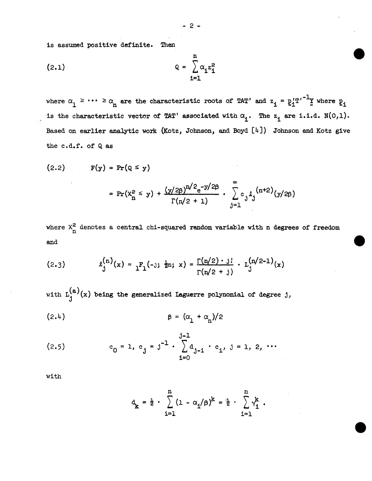is assumed positive definite. Then

$$
Q = \sum_{i=1}^{n} \alpha_i z_i^2
$$

where  $\alpha_1 \geq \cdots \geq \alpha_n$  are the characteristic roots of TAT' and  $z_i = \underline{p}_i^T{T'}^{-1}$  where  $\underline{p}_i$ is the characteristic vector of TAT' associated with  $\alpha_i$ . The  $z_i$  are i.i.d. N(0,1). Based on earlier analytic work (Kotz, Johnson, and Boyd [4]) Johnson and Kotz give the c.d.f. of Q as

$$
(2.2) \quad F(y) = Pr(Q \leq y)
$$

$$
= \Pr(X_{n}^{2} \leq y) + \frac{(y/2\beta)^{n/2} e^{-y/2\beta}}{\Gamma(n/2 + 1)} \cdot \sum_{j=1}^{\infty} c_j \ell_j^{(n+2)}(y/2\beta)
$$

where  $X_{n}^{2}$  denotes a central chi-squared random variable with n degrees of freedom and

(2.3) 
$$
\ell_j^{(n)}(x) = \frac{1}{2} F_1(-1; \frac{1}{2}n; x) = \frac{\Gamma(n/2) \cdot 1!}{\Gamma(n/2 + 1)} \cdot \frac{\Gamma(n/2-1)}{1} (x)
$$

with  $L_1^{(a)}(x)$  being the generalized Laguerre polynomial of degree j,

$$
\beta = (\alpha_1 + \alpha_n)/2
$$

$$
(2.5) \t c_0 = 1, c_j = j^{-1} \cdot \sum_{i=0}^{j-1} d_{j-i} \cdot c_i, j = 1, 2, \cdots
$$

with

$$
d_k = \frac{1}{2} \cdot \sum_{i=1}^{n} (1 - \alpha_i/\beta)^k = \frac{1}{2} \cdot \sum_{i=1}^{n} \gamma_i^k.
$$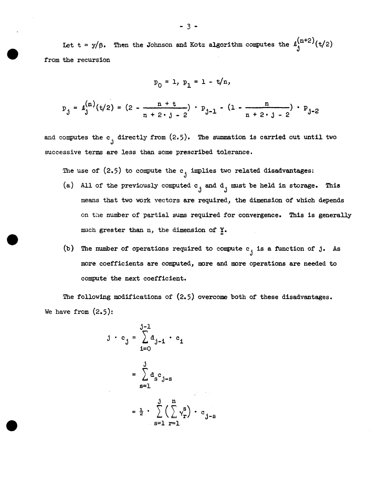Let t = y/ $\beta$ . Then the Johnson and Kotz algorithm computes the  $\ell_1^{(n+2)}(t/2)$ from the recursion

$$
p_0 = 1, p_1 = 1 - t/n,
$$

$$
p_{j} = \ell_{j}^{(n)}(t/2) = (2 - \frac{n + t}{n + 2 \cdot j - 2}) \cdot p_{j-1} - (1 - \frac{n}{n + 2 \cdot j - 2}) \cdot p_{j-2}
$$

and computes the  $c_j$  directly from  $(2.5)$ . The summation is carried out until two successive terms are less than some prescribed tolerance.

The use of  $(2.5)$  to compute the  $c_j$  implies two related disadvantages:

- (a) All of the previously computed  $c_j$  and  $d_j$  must be held in storage. This means that two work vectors are required, the dimension of which depends on the number of partial sums required for convergence. This is generally much greater than n, the dimension of Y.
- (b) The number of operations required to compute  $c_j$  is a function of j. As more coefficients are computed, more and more operations are needed to compute the next coefficient.

The following modifications of (2.5) overcome both of these disadvantages. We have from  $(2.5)$ :

$$
j \cdot c_j = \sum_{i=0}^{j-1} d_{j-i} \cdot c_i
$$

$$
= \sum_{s=1}^{j} d_s c_{j-s}
$$

$$
= \frac{1}{2} \cdot \sum_{s=1}^{j} \left(\sum_{r=1}^{n} v_r^s\right) \cdot c_{j-s}
$$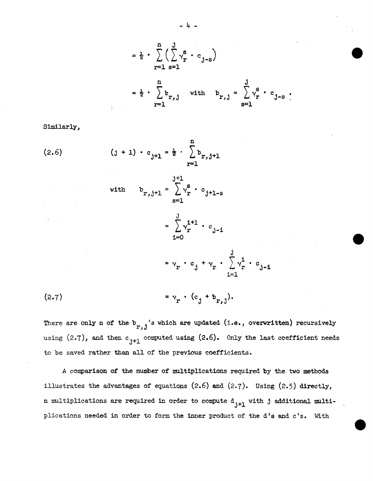$$
= \frac{1}{2} \cdot \sum_{r=1}^{n} \left( \sum_{s=1}^{j} v_r^s \cdot c_{j-s} \right)
$$
  
\n
$$
= \frac{1}{2} \cdot \sum_{r=1}^{n} b_{r,j} \quad \text{with} \quad b_{r,j} = \sum_{s=1}^{j} v_r^s \cdot c_{j-s}.
$$

Similarly,

(2.6) 
$$
(j + 1) \cdot c_{j+1} = \frac{1}{2} \cdot \sum_{r=1}^{n} b_{r,j+1}
$$
  
\nwith  $b_{r,j+1} = \sum_{s=1}^{j+1} v_r^s \cdot c_{j+1-s}$   
\n
$$
= \sum_{i=0}^{j} v_r^{i+1} \cdot c_{j-i}
$$
\n
$$
= v_r \cdot c_j + v_r \cdot \sum_{i=1}^{j} v_r^i \cdot c_{j-i}
$$
\n(2.7) 
$$
= v_r \cdot (c_j + b_{r,j}).
$$

There are only n of the  $b_{r,j}$ 's which are updated (i.e., overwritten) recursively using  $(2.7)$ , and then  $c_{j+1}$  computed using  $(2.6)$ . Only the last coefficient needs to be saved rather than all of the previous coefficients.

*A* comparison of the number of multiplications required by the two methods illustrates the advantages of equations  $(2.6)$  and  $(2.7)$ . Using  $(2.5)$  directly, n multiplications are required in order to compute  $d_{j+1}$  with j additional multiplications needed in order to form the inner product of the d's and c's. With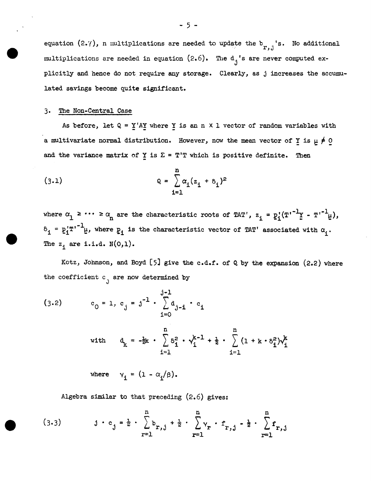equation (2.7), n multiplications are needed to update the  $b_{r,j}$ 's. No additional multiplications are needed in equation  $(2.6)$ . The  $d_i$ 's are never computed explicitly and hence do not require any storage. Clearly, as j increases the accumulated savings become quite significant.

### 3· The Non-Central Case

As before, let  $Q = Y'AY$  where Y is an n X 1 vector of random variables with a multivariate normal distribution. However, now the mean vector of  $\frac{\mathbf{y}}{\mathbf{x}}$  is  $\mu \neq 0$ and the variance matrix of  $Y$  is  $\Sigma = T'T$  which is positive definite. Then

(3.1) 
$$
Q = \sum_{i=1}^{n} \alpha_i (z_i + \delta_i)^2
$$

where  $\alpha_1 \geq \cdots \geq \alpha_n$  are the characteristic roots of TAT',  $z_i = p_i'(T^{i-1}Y - T^{i-1}\mu)$ ,  $\delta_i = p_i'T^{i-1}\mu$ , where  $p_i$  is the characteristic vector of TAT' associated with  $\alpha_i$ . The  $z_i$  are i.i.d.  $N(0,1)$ .

Kotz, Johnson, and Boyd  $[5]$  give the c.d.f. of Q by the expansion  $(2.2)$  where the coefficient  $c<sub>1</sub>$  are now determined by

(3.2) 
$$
c_0 = 1, c_j = j^{-1} \cdot \sum_{i=0}^{j-1} d_{j-i} \cdot c_i
$$
  
with  $d_k = -\frac{1}{2}k \cdot \sum_{i=1}^{n} \delta_i^2 \cdot \gamma_i^{k-1} + \frac{1}{2} \cdot \sum_{i=1}^{n} (1 + k \cdot \delta_i^2) \gamma_i^k$ 

where  $y_i = (1 - \alpha_i/\beta)$ .

Algebra similar to that preceding  $(2.6)$  gives:

(3.3) 
$$
j \cdot c_j = \frac{1}{2} \cdot \sum_{r=1}^{n} b_{r,j} + \frac{1}{2} \cdot \sum_{r=1}^{n} v_r \cdot f_{r,j} - \frac{1}{2} \cdot \sum_{r=1}^{n} f_{r,j}
$$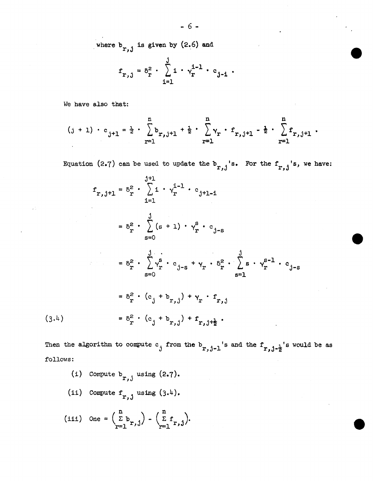where 
$$
b_{r,j}
$$
 is given by (2.6) and

$$
f_{r,j} = \delta_r^2 \cdot \sum_{i=1}^{j} i \cdot \gamma_r^{i-1} \cdot c_{j-i}.
$$

We have also that:

$$
(j + 1) \cdot c_{j+1} = \frac{1}{2} \cdot \sum_{r=1}^{n} b_{r,j+1} + \frac{1}{2} \cdot \sum_{r=1}^{n} \gamma_r \cdot f_{r,j+1} - \frac{1}{2} \cdot \sum_{r=1}^{n} f_{r,j+1}.
$$

Equation (2.7) can be used to update the  $b_{r,j}$ 's. For the  $f_{r,j}$ 's, we have:

$$
f_{r,j+1} = \delta_r^2 \cdot \sum_{i=1}^{j+1} \cdot \gamma_r^{i-1} \cdot c_{j+1-i}
$$
  
\n
$$
= \delta_r^2 \cdot \sum_{s=0}^{j} (s+1) \cdot \gamma_r^s \cdot c_{j-s}
$$
  
\n
$$
= \delta_r^2 \cdot \sum_{s=0}^{j} \gamma_r^s \cdot c_{j-s} + \gamma_r \cdot \delta_r^2 \cdot \sum_{s=1}^{j} s \cdot \gamma_r^{s-1} \cdot c_{j-s}
$$
  
\n
$$
= \delta_r^2 \cdot (c_j + b_{r,j}) + \gamma_r \cdot f_{r,j}
$$
  
\n(3.4)  
\n
$$
= \delta_r^2 \cdot (c_j + b_{r,j}) + f_{r,j+\frac{1}{2}}.
$$

Then the algorithm to compute c<sub>j</sub> from the  $b_{r,j-1}$ 's and the  $f_{r,j-\frac{1}{2}}$ 's would be as follows:

(i) Compute 
$$
b_{r,j}
$$
 using (2.7).  
\n(ii) Compute  $f_{r,j}$  using (3.4).  
\n(iii) One =  $\left(\sum_{r=1}^{n} b_{r,j}\right) - \left(\sum_{r=1}^{n} f_{r,j}\right)$ .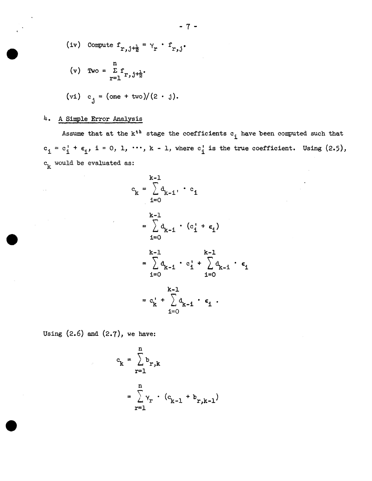(iv) Compute 
$$
f_{r,j+\frac{1}{2}} = \gamma_r \cdot f_{r,j}
$$
.  
\n(v) Two =  $\sum_{r=1}^{n} f_{r,j+\frac{1}{2}}$ .  
\n(vi)  $c_j = (\text{one} + \text{two})/(2 \cdot j)$ .

## 4. A Simple Error Analysis

 $\sim$   $\sim$ 

Assume that at the  $k^{\text{th}}$  stage the coefficients  $c_{\text{i}}$  have been computed such that  $c_i = c_i^1 + \epsilon_i$ , i = 0, 1,  $\cdots$ , k - 1, where  $c_i^1$  is the true coefficient. Using (2.5),  $c_k$  would be evaluated as:

$$
c_{k} = \sum_{i=0}^{k-1} d_{k-i} \cdot c_{i}
$$
\n
$$
= \sum_{i=0}^{k-1} d_{k-i} \cdot (c_{i} + \epsilon_{i})
$$
\n
$$
= \sum_{i=0}^{k-1} d_{k-i} \cdot c_{i} + \sum_{i=0}^{k-1} d_{k-i} \cdot \epsilon_{i}
$$
\n
$$
= c_{k}^{i} + \sum_{i=0}^{k-1} d_{k-i} \cdot \epsilon_{i}.
$$

Using (2.6) and (2.7), we have:

$$
c_k = \sum_{r=1}^{n} b_{r,k}
$$
  
= 
$$
\sum_{r=1}^{n} \gamma_r \cdot (c_{k-1} + b_{r,k-1})
$$

- 7 -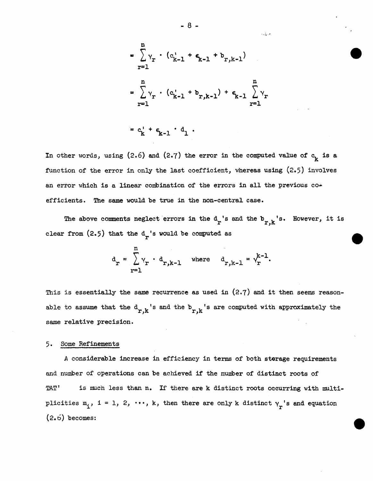$$
= \sum_{r=1}^{n} \gamma_r \cdot (c_{k-1}^1 + \epsilon_{k-1}^1 + b_{r,k-1})
$$
  

$$
= \sum_{r=1}^{n} \gamma_r \cdot (c_{k-1}^1 + b_{r,k-1}) + \epsilon_{k-1} \sum_{r=1}^{n} \gamma_r
$$
  

$$
= c_k^1 + \epsilon_{k-1} \cdot d_1.
$$

In other words, using (2.6) and (2.7) the error in the computed value of  $c_{\mathbf{k}}$  is a function of the error in only the last coefficient, whereas using (2.5) involves an error which is a linear combination of the errors in all the previous coefficients. The same would be true in the non-central case.

The above comments neglect errors in the  $d_r$ 's and the  $b_{r,k}$ 's. However, it is clear from  $(2.5)$  that the  $d_r$ 's would be computed as

$$
d_r = \sum_{r=1}^{n} Y_r \cdot d_{r,k-1} \quad \text{where} \quad d_{r,k-1} = Y_r^{k-1}.
$$

This is essentially the same recurrence as used in  $(2.7)$  and it then seems reasonable to assume that the  $d_{r,k}$ <sup>'s</sup> and the  $b_{r,k}$ <sup>'s</sup> are computed with approximately the same relative precision.

### 5. Some Refinements

A considerable increase in efficiency in terms of both storage requirements and number of operations can be achieved if the number of distinct roots of TAT' is much less than n. If there are k distinct roots occurring with multiplicities  $m_i$ , i = 1, 2,  $\cdots$ , k, then there are only k distinct  $\gamma_r$ 's and equation  $(2.6)$  becomes:

- 8 -

وريء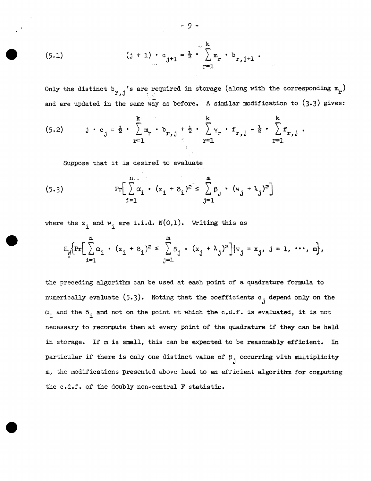(5.1) 
$$
(j + 1) \cdot c_{j+1} = \frac{1}{2} \cdot \sum_{r=1}^{k} m_r \cdot b_{r,j+1}
$$
.

Only the distinct  $b_{r,j}$ 's are required in storage (along with the corresponding  $m_r$ ) and are updated in the same way as before. A similar modification to (3.3) gives:

(5.2) 
$$
j \cdot c_j = \frac{1}{2} \cdot \sum_{r=1}^{k} m_r \cdot b_{r,j} + \frac{1}{2} \cdot \sum_{r=1}^{k} \gamma_r \cdot f_{r,j} - \frac{1}{2} \cdot \sum_{r=1}^{k} f_{r,j}.
$$

Suppose that it is desired to evaluate

(5.3) 
$$
\Pr\left[\sum_{i=1}^{n} \alpha_i \cdot (z_1 + \delta_i)^2 \leq \sum_{j=1}^{m} \beta_j \cdot (w_j + \lambda_j)^2\right]
$$

where the  $z_i$  and  $w_i$  are i.i.d.  $N(0,1)$ . Writing this as

$$
\mathbb{E}_{\underline{w}}\biggl\{\Pr\biggl[\sum_{i=1}^n \alpha_i \cdot (z_i + \delta_i)^2 \leq \sum_{j=1}^m \beta_j \cdot (x_j + \lambda_j)^2\biggr] |v_j = x_j, \ j = 1, \ \cdots, \ m\biggr\},\
$$

the preceding algorithm can be used at each point of a quadrature formula to numerically evaluate  $(5.3)$ . Noting that the coefficients  $c_j$  depend only on the  $\alpha$ <sub>i</sub> and the  $\delta$ <sub>i</sub> and not on the point at which the c.d.f. is evaluated, it is not necessary to recompute them at every point of the quadrature if they can be held in storage. If m is small, this can be expected to be reasonably efficient. In particular if there is only one distinct value of  $\beta_{\hat{A}}$  occurring with multiplicity m, the modifications presented above lead to an efficient algorithm for computing the c,d.f. of the doubly non-central F statistic.

- 9 -